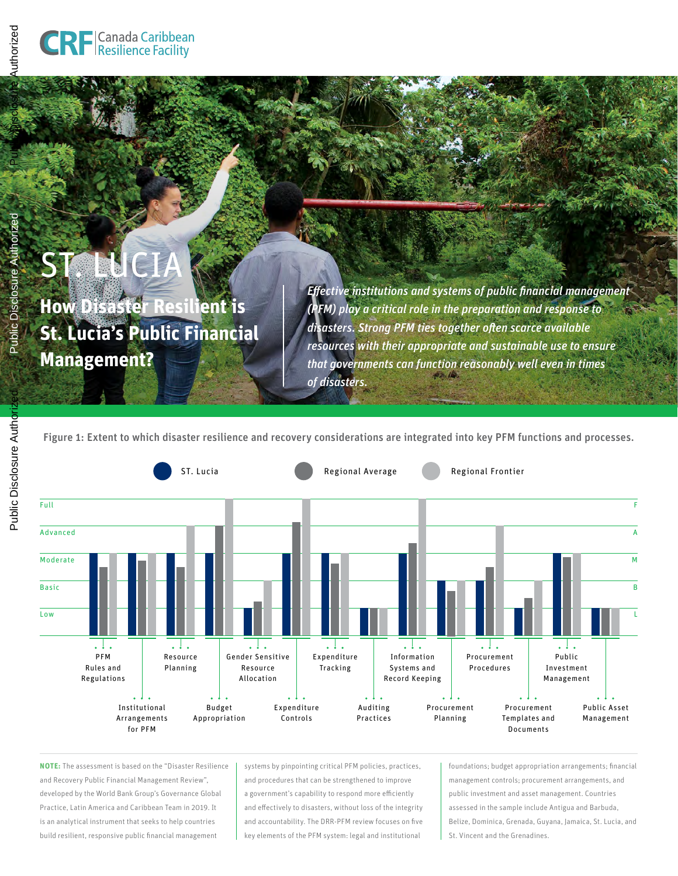ST. LUCIA

**Management?**

**How Disaster Resilient is** 

**St. Lucia's Public Financial** 

# Public Disclosure Authorized

Public Disclosure Authorized

Authorizec

Public Disclosure

*Effective institutions and systems of public financial management (PFM) play a critical role in the preparation and response to disasters. Strong PFM ties together often scarce available resources with their appropriate and sustainable use to ensure that governments can function reasonably well even in times of disasters.*

Figure 1: Extent to which disaster resilience and recovery considerations are integrated into key PFM functions and processes.



**NOTE:** The assessment is based on the "Disaster Resilience and Recovery Public Financial Management Review", developed by the World Bank Group's Governance Global Practice, Latin America and Caribbean Team in 2019. It is an analytical instrument that seeks to help countries build resilient, responsive public financial management

systems by pinpointing critical PFM policies, practices, and procedures that can be strengthened to improve a government's capability to respond more efficiently and effectively to disasters, without loss of the integrity and accountability. The DRR-PFM review focuses on five key elements of the PFM system: legal and institutional

foundations; budget appropriation arrangements; financial management controls; procurement arrangements, and public investment and asset management. Countries assessed in the sample include Antigua and Barbuda, Belize, Dominica, Grenada, Guyana, Jamaica, St. Lucia, and St. Vincent and the Grenadines.